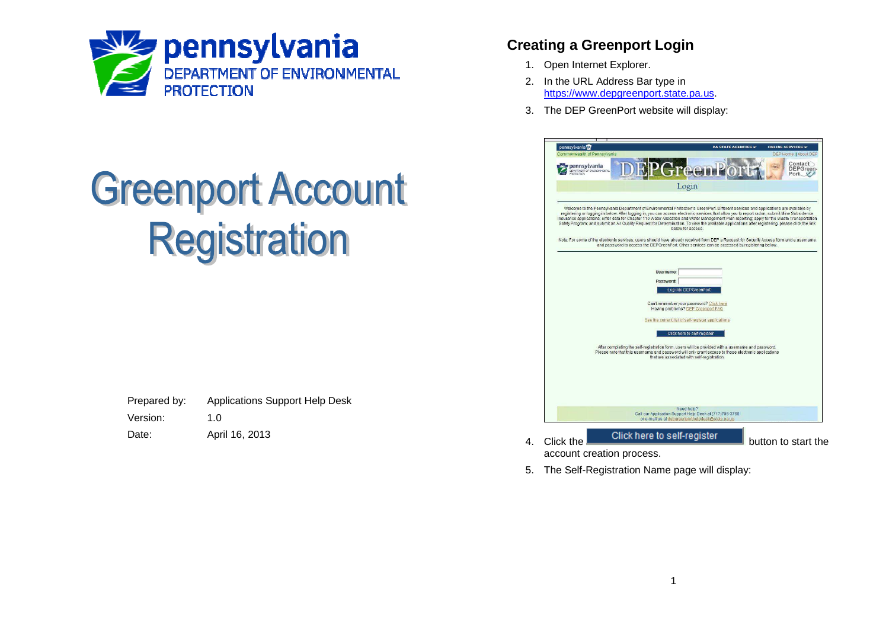

## **Greenport Account Registration**

| Prepared by: | <b>Applications Support Help Desk</b> |
|--------------|---------------------------------------|
| Version:     | 1. $\Omega$                           |
| Date:        | April 16, 2013                        |

## **Creating a Greenport Login**

- 1. Open Internet Explorer.
- 2. In the URL Address Bar type in https://www.depgreenport.state.pa.us.
- 3. The DEP GreenPort website will display:

| pennsylvania <sup>124</sup><br>Commonwealth of Pennsylvania<br><b>DEP Home    About DEP</b><br>Contact<br>pennsylvania<br>reemi<br>DEPGreen-<br><b>OFFINE THE REPORT OF ENVIRONMENTAL</b><br>Port<br>Login<br>Welcome to the Pennsylvania Department of Environmental Protection's GreenPort. Different services and applications are available by<br>registering or logging in below. After logging in, you can access electronic services that allow you to report radon; submit Mine Subsidence<br>Insurance applications; enter data for Chapter 110 Water Allocation and Water Management Plan reporting; apply for the Waste Transportation<br>Safety Program; and submit an Air Quality Request for Determination. To view the available applications after registering, please click the link<br>below for access.<br>Note: For some of the electronic services, users should have already received from DEP a Request for Security Access form and a username<br>and password to access the DEPGreenPort. Other services can be accessed by registering below.<br>Username: |
|--------------------------------------------------------------------------------------------------------------------------------------------------------------------------------------------------------------------------------------------------------------------------------------------------------------------------------------------------------------------------------------------------------------------------------------------------------------------------------------------------------------------------------------------------------------------------------------------------------------------------------------------------------------------------------------------------------------------------------------------------------------------------------------------------------------------------------------------------------------------------------------------------------------------------------------------------------------------------------------------------------------------------------------------------------------------------------------|
|                                                                                                                                                                                                                                                                                                                                                                                                                                                                                                                                                                                                                                                                                                                                                                                                                                                                                                                                                                                                                                                                                      |
|                                                                                                                                                                                                                                                                                                                                                                                                                                                                                                                                                                                                                                                                                                                                                                                                                                                                                                                                                                                                                                                                                      |
|                                                                                                                                                                                                                                                                                                                                                                                                                                                                                                                                                                                                                                                                                                                                                                                                                                                                                                                                                                                                                                                                                      |
|                                                                                                                                                                                                                                                                                                                                                                                                                                                                                                                                                                                                                                                                                                                                                                                                                                                                                                                                                                                                                                                                                      |
|                                                                                                                                                                                                                                                                                                                                                                                                                                                                                                                                                                                                                                                                                                                                                                                                                                                                                                                                                                                                                                                                                      |
|                                                                                                                                                                                                                                                                                                                                                                                                                                                                                                                                                                                                                                                                                                                                                                                                                                                                                                                                                                                                                                                                                      |
|                                                                                                                                                                                                                                                                                                                                                                                                                                                                                                                                                                                                                                                                                                                                                                                                                                                                                                                                                                                                                                                                                      |
| Password:                                                                                                                                                                                                                                                                                                                                                                                                                                                                                                                                                                                                                                                                                                                                                                                                                                                                                                                                                                                                                                                                            |
| Log into DEPGreenPort                                                                                                                                                                                                                                                                                                                                                                                                                                                                                                                                                                                                                                                                                                                                                                                                                                                                                                                                                                                                                                                                |
| Can't remember your password? Click here<br>Having problems? DEP Greenport FAQ                                                                                                                                                                                                                                                                                                                                                                                                                                                                                                                                                                                                                                                                                                                                                                                                                                                                                                                                                                                                       |
| See the current list of self-register applications                                                                                                                                                                                                                                                                                                                                                                                                                                                                                                                                                                                                                                                                                                                                                                                                                                                                                                                                                                                                                                   |
|                                                                                                                                                                                                                                                                                                                                                                                                                                                                                                                                                                                                                                                                                                                                                                                                                                                                                                                                                                                                                                                                                      |
| Click here to self-register                                                                                                                                                                                                                                                                                                                                                                                                                                                                                                                                                                                                                                                                                                                                                                                                                                                                                                                                                                                                                                                          |
| After completing the self-registration form, users will be provided with a username and password.<br>Please note that this username and password will only grant access to those electronic applications<br>that are associated with self-registration.                                                                                                                                                                                                                                                                                                                                                                                                                                                                                                                                                                                                                                                                                                                                                                                                                              |
|                                                                                                                                                                                                                                                                                                                                                                                                                                                                                                                                                                                                                                                                                                                                                                                                                                                                                                                                                                                                                                                                                      |
|                                                                                                                                                                                                                                                                                                                                                                                                                                                                                                                                                                                                                                                                                                                                                                                                                                                                                                                                                                                                                                                                                      |
|                                                                                                                                                                                                                                                                                                                                                                                                                                                                                                                                                                                                                                                                                                                                                                                                                                                                                                                                                                                                                                                                                      |
| Need help?<br>Call our Application Support Help Desk at (717)705-3768                                                                                                                                                                                                                                                                                                                                                                                                                                                                                                                                                                                                                                                                                                                                                                                                                                                                                                                                                                                                                |
| or e-mail us at depgreenporthelpdesk@state.pa.us                                                                                                                                                                                                                                                                                                                                                                                                                                                                                                                                                                                                                                                                                                                                                                                                                                                                                                                                                                                                                                     |

account creation process. 5. The Self-Registration Name page will display: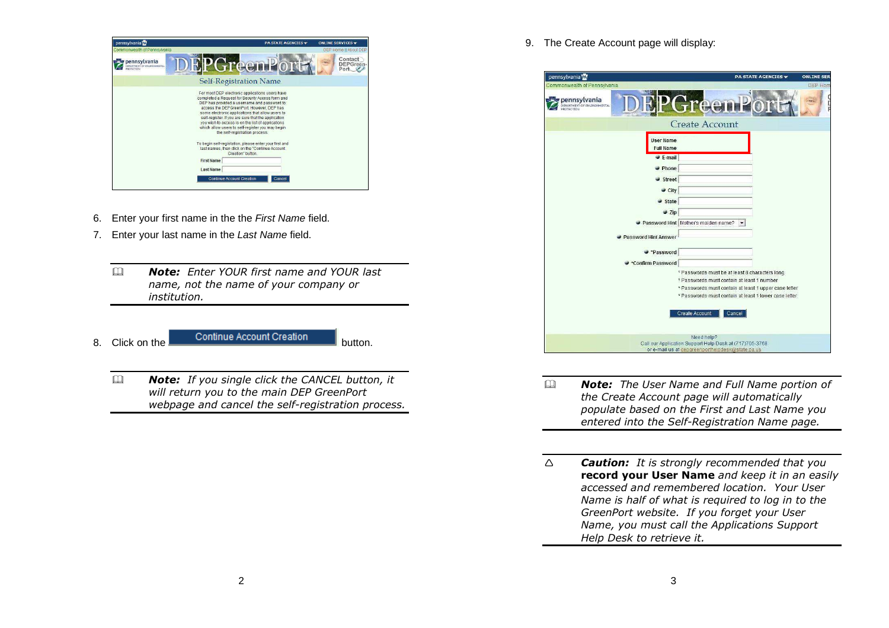| pennsylvania <sup>ty</sup>             | <b>PA STATE AGENCIES</b>                                                                                                                                                                                                                                                                                                                                                                                                                             | ONLINE SERVICES -                  |
|----------------------------------------|------------------------------------------------------------------------------------------------------------------------------------------------------------------------------------------------------------------------------------------------------------------------------------------------------------------------------------------------------------------------------------------------------------------------------------------------------|------------------------------------|
| Commonwealth of Pennsylvania           |                                                                                                                                                                                                                                                                                                                                                                                                                                                      | DEP Home II About DE               |
| pennsylvania<br>TMENT OF ENVIRONMENTAL | GreenPort                                                                                                                                                                                                                                                                                                                                                                                                                                            | Contact<br><b>DEPGreen</b><br>Port |
|                                        | <b>Self-Registration Name</b>                                                                                                                                                                                                                                                                                                                                                                                                                        |                                    |
|                                        | For most DEP electronic applications users have<br>completed a Request for Security Access form and<br>DEP has provided a usemame and password to<br>access the DEPGreenPort, However, DEP has<br>some electronic applications that allow users to<br>self-register, if you are sure that the application<br>you wish to access is on the list of applications<br>which allow users to self-register you may begin<br>the self-registration process. |                                    |
|                                        | To begin self-registation, please enter your first and<br>last names, then click on the "Continue Account"<br>Creation" button.                                                                                                                                                                                                                                                                                                                      |                                    |
|                                        | <b>First Name</b>                                                                                                                                                                                                                                                                                                                                                                                                                                    |                                    |
|                                        | <b>Last Name</b>                                                                                                                                                                                                                                                                                                                                                                                                                                     |                                    |
|                                        | <b>Continue Account Creation</b><br>Cancel                                                                                                                                                                                                                                                                                                                                                                                                           |                                    |
|                                        |                                                                                                                                                                                                                                                                                                                                                                                                                                                      |                                    |

- 6. Enter your first name in the the First Name field.
- 7. Enter your last name in the Last Name field.
	- $\Box$  *Note: Enter YOUR first name and YOUR last name, not the name of your company or institution.*
- 

8. Click on the **Continue Account Creation** 

 $\Box$  *Note: If you single click the CANCEL button, it will return you to the main DEP GreenPort webpage and cancel the self-registration process.*  9. The Create Account page will display:

| pennsylvania <sup>py</sup>                         | <b>ONLINE SERY</b><br><b>PA STATE AGENCIES</b>                                                                 |
|----------------------------------------------------|----------------------------------------------------------------------------------------------------------------|
| Commonwealth of Pennsylvania                       | DEP Hom                                                                                                        |
| pennsylvania<br><b>DEPARTMENT OF FINTRONMENTAL</b> | <b>Treen</b><br>D                                                                                              |
|                                                    | <b>Create Account</b>                                                                                          |
| <b>User Name</b><br><b>Full Name</b>               |                                                                                                                |
| $E$ -mail                                          |                                                                                                                |
| $\rightarrow$ Phone                                |                                                                                                                |
| Street                                             |                                                                                                                |
| $\bullet$ City                                     |                                                                                                                |
| State                                              |                                                                                                                |
| Zip                                                |                                                                                                                |
|                                                    | Password Hint   Mother's maiden name? *                                                                        |
|                                                    |                                                                                                                |
| Password Hint Answer                               |                                                                                                                |
| Password                                           |                                                                                                                |
| Confirm Password                                   |                                                                                                                |
|                                                    | * Passwords must be at least 8 characters long                                                                 |
|                                                    | * Passwords must contain at least 1 number                                                                     |
|                                                    | * Passwords must contain at least 1 upper case letter<br>* Passwords must contain at least 1 lower case letter |
|                                                    |                                                                                                                |
|                                                    | <b>Create Account</b><br>Cancel                                                                                |
|                                                    |                                                                                                                |
|                                                    | Need help?                                                                                                     |
|                                                    | Call our Application Support Help Desk at (717)705-3768                                                        |
|                                                    | or e-mail us at depgreenporthelpdesk@state.pa.us                                                               |

- $\Box$  *Note: The User Name and Full Name portion of the Create Account page will automatically populate based on the First and Last Name you entered into the Self-Registration Name page.*
- $\triangle$  *Caution: It is strongly recommended that you*  **record your User Name** *and keep it in an easily accessed and remembered location. Your User Name is half of what is required to log in to the GreenPort website. If you forget your User Name, you must call the Applications Support Help Desk to retrieve it.*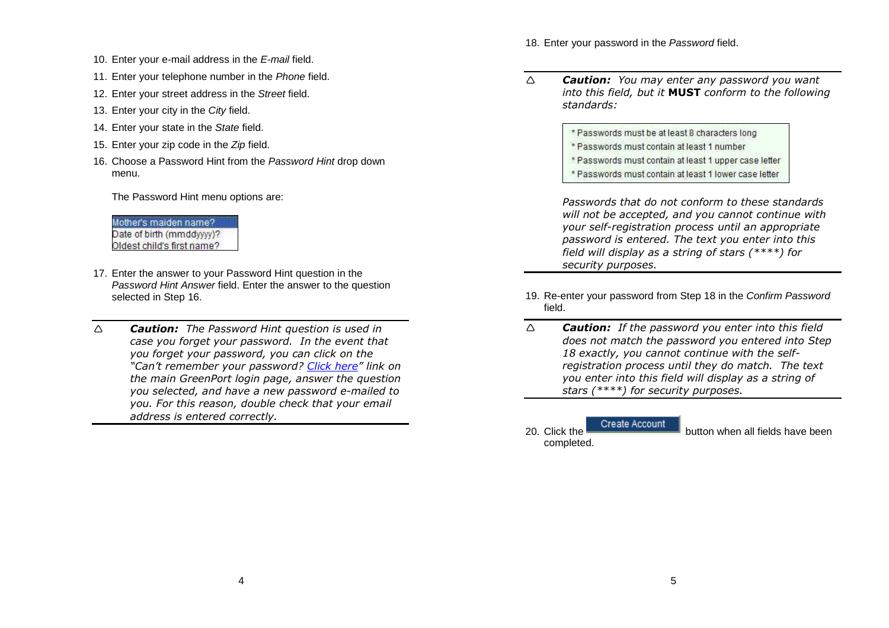- 10. Enter your e-mail address in the E-mail field.
- 11. Enter your telephone number in the Phone field.
- 12. Enter your street address in the Street field.
- 13. Enter your city in the City field.
- 14. Enter your state in the State field.
- 15. Enter your zip code in the Zip field.
- 16. Choose a Password Hint from the Password Hint drop down menu.

The Password Hint menu options are:

Mother's maiden name? Date of birth (mmddwwy)? Oldest child's first name?

- 17. Enter the answer to your Password Hint question in the Password Hint Answer field. Enter the answer to the question selected in Step 16.
- $\triangle$  *Caution: The Password Hint question is used in case you forget your password. In the event that you forget your password, you can click on the "Can't remember your password? Click here" link on the main GreenPort login page, answer the question you selected, and have a new password e-mailed to you. For this reason, double check that your email address is entered correctly.*

18. Enter your password in the Password field.

- $\wedge$  *Caution: You may enter any password you want into this field, but it* **MUST** *conform to the following standards:* 
	- \* Passwords must be at least 8 characters long
	- \* Passwords must contain at least 1 number
	- \* Passwords must contain at least 1 upper case letter
	- \* Passwords must contain at least 1 lower case letter

*Passwords that do not conform to these standards will not be accepted, and you cannot continue with your self-registration process until an appropriate password is entered. The text you enter into this field will display as a string of stars (\*\*\*\*) for security purposes.*

- 19. Re-enter your password from Step 18 in the Confirm Password field.
- $\wedge$  *Caution: If the password you enter into this field does not match the password you entered into Step 18 exactly, you cannot continue with the selfregistration process until they do match. The textyou enter into this field will display as a string of stars (\*\*\*\*) for security purposes.*

Create Account 20. Click the **button when all fields** have been completed.